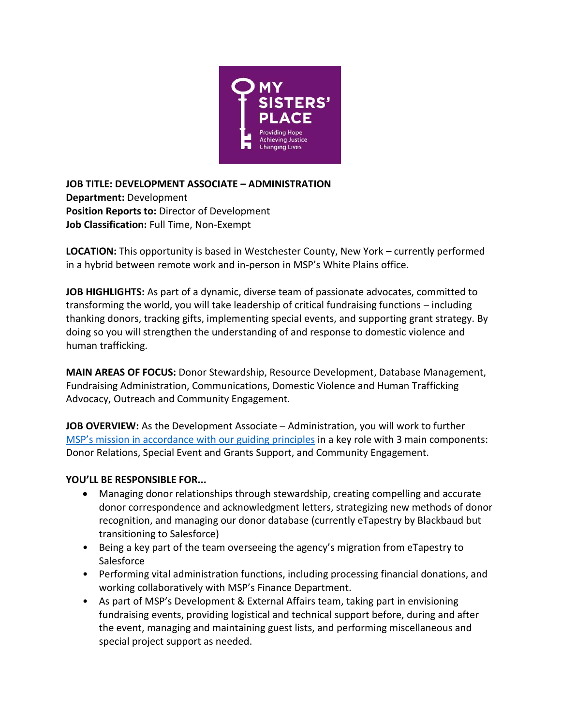

**JOB TITLE: DEVELOPMENT ASSOCIATE – ADMINISTRATION Department:** Development **Position Reports to:** Director of Development **Job Classification:** Full Time, Non-Exempt

**LOCATION:** This opportunity is based in Westchester County, New York – currently performed in a hybrid between remote work and in-person in MSP's White Plains office.

**JOB HIGHLIGHTS:** As part of a dynamic, diverse team of passionate advocates, committed to transforming the world, you will take leadership of critical fundraising functions – including thanking donors, tracking gifts, implementing special events, and supporting grant strategy. By doing so you will strengthen the understanding of and response to domestic violence and human trafficking.

**MAIN AREAS OF FOCUS:** Donor Stewardship, Resource Development, Database Management, Fundraising Administration, Communications, Domestic Violence and Human Trafficking Advocacy, Outreach and Community Engagement.

**JOB OVERVIEW:** As the Development Associate – Administration, you will work to further [MSP's mission in accordance with our guid](https://mspny.org/mission-and-guiding-principles)ing principles in a key role with 3 main components: Donor Relations, Special Event and Grants Support, and Community Engagement.

## **YOU'LL BE RESPONSIBLE FOR...**

- Managing donor relationships through stewardship, creating compelling and accurate donor correspondence and acknowledgment letters, strategizing new methods of donor recognition, and managing our donor database (currently eTapestry by Blackbaud but transitioning to Salesforce)
- Being a key part of the team overseeing the agency's migration from eTapestry to **Salesforce**
- Performing vital administration functions, including processing financial donations, and working collaboratively with MSP's Finance Department.
- As part of MSP's Development & External Affairs team, taking part in envisioning fundraising events, providing logistical and technical support before, during and after the event, managing and maintaining guest lists, and performing miscellaneous and special project support as needed.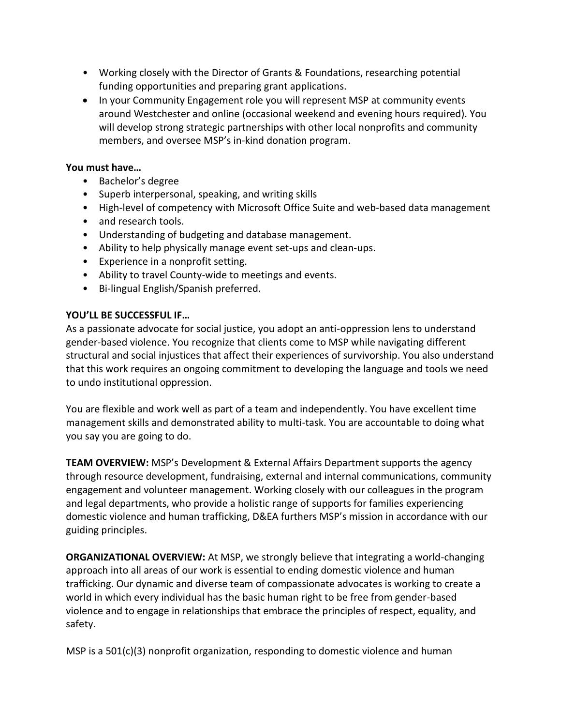- Working closely with the Director of Grants & Foundations, researching potential funding opportunities and preparing grant applications.
- In your Community Engagement role you will represent MSP at community events around Westchester and online (occasional weekend and evening hours required). You will develop strong strategic partnerships with other local nonprofits and community members, and oversee MSP's in-kind donation program.

## **You must have…**

- Bachelor's degree
- Superb interpersonal, speaking, and writing skills
- High-level of competency with Microsoft Office Suite and web-based data management
- and research tools.
- Understanding of budgeting and database management.
- Ability to help physically manage event set-ups and clean-ups.
- Experience in a nonprofit setting.
- Ability to travel County-wide to meetings and events.
- Bi-lingual English/Spanish preferred.

## **YOU'LL BE SUCCESSFUL IF…**

As a passionate advocate for social justice, you adopt an anti-oppression lens to understand gender-based violence. You recognize that clients come to MSP while navigating different structural and social injustices that affect their experiences of survivorship. You also understand that this work requires an ongoing commitment to developing the language and tools we need to undo institutional oppression.

You are flexible and work well as part of a team and independently. You have excellent time management skills and demonstrated ability to multi-task. You are accountable to doing what you say you are going to do.

**TEAM OVERVIEW:** MSP's Development & External Affairs Department supports the agency through resource development, fundraising, external and internal communications, community engagement and volunteer management. Working closely with our colleagues in the program and legal departments, who provide a holistic range of supports for families experiencing domestic violence and human trafficking, D&EA furthers MSP's mission in accordance with our guiding principles.

**ORGANIZATIONAL OVERVIEW:** At MSP, we strongly believe that integrating a world-changing approach into all areas of our work is essential to ending domestic violence and human trafficking. Our dynamic and diverse team of compassionate advocates is working to create a world in which every individual has the basic human right to be free from gender-based violence and to engage in relationships that embrace the principles of respect, equality, and safety.

MSP is a  $501(c)(3)$  nonprofit organization, responding to domestic violence and human